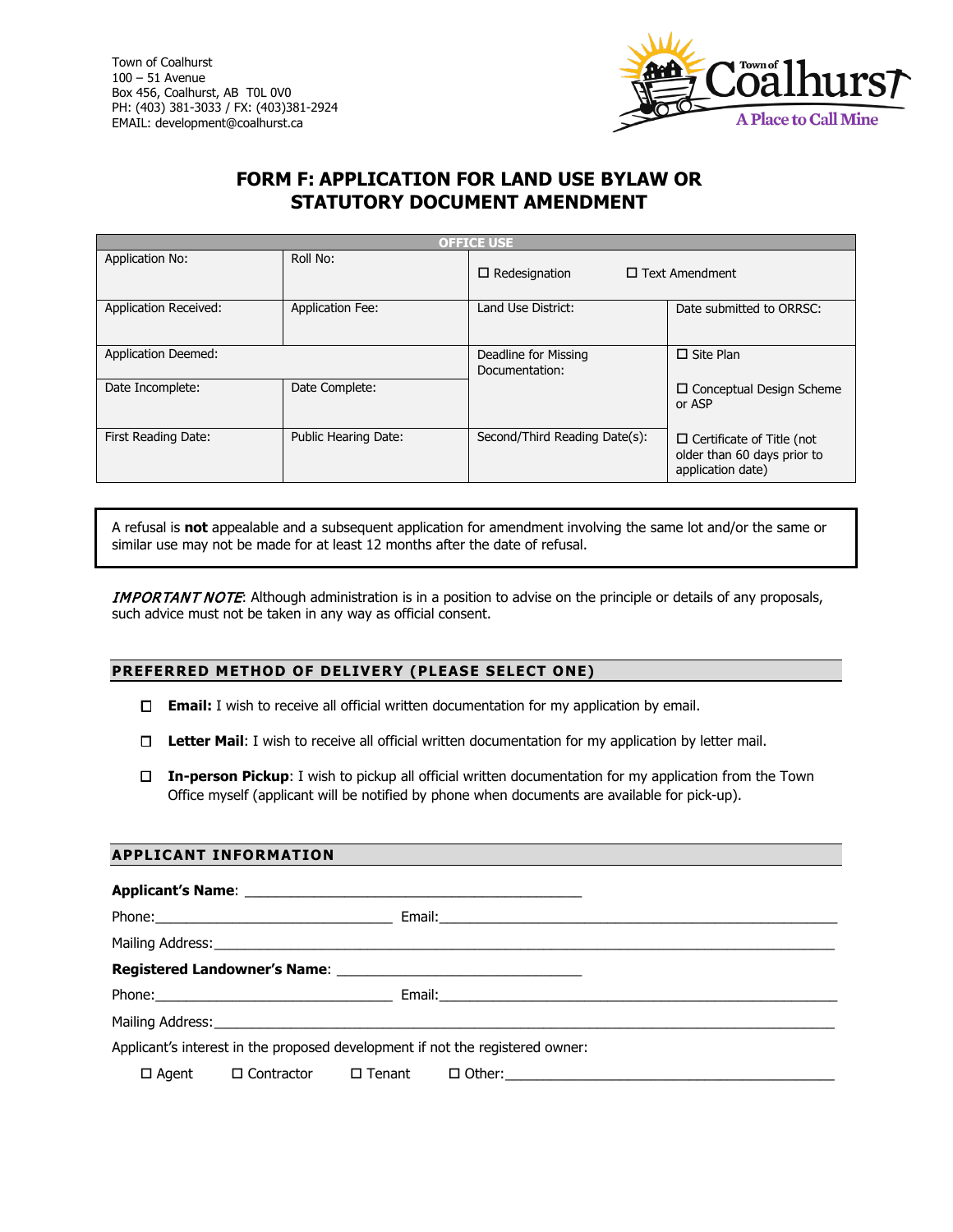

# **FORM F: APPLICATION FOR LAND USE BYLAW OR STATUTORY DOCUMENT AMENDMENT**

| <b>OFFICE USE</b>            |                         |                                        |                                                                                      |  |
|------------------------------|-------------------------|----------------------------------------|--------------------------------------------------------------------------------------|--|
| Application No:              | Roll No:                | $\Box$ Redesignation                   | $\Box$ Text Amendment                                                                |  |
| <b>Application Received:</b> | <b>Application Fee:</b> | Land Use District:                     | Date submitted to ORRSC:                                                             |  |
| <b>Application Deemed:</b>   |                         | Deadline for Missing<br>Documentation: | $\Box$ Site Plan                                                                     |  |
| Date Incomplete:             | Date Complete:          |                                        | $\Box$ Conceptual Design Scheme<br>or ASP                                            |  |
| First Reading Date:          | Public Hearing Date:    | Second/Third Reading Date(s):          | $\Box$ Certificate of Title (not<br>older than 60 days prior to<br>application date) |  |

A refusal is **not** appealable and a subsequent application for amendment involving the same lot and/or the same or similar use may not be made for at least 12 months after the date of refusal.

**IMPORTANT NOTE:** Although administration is in a position to advise on the principle or details of any proposals, such advice must not be taken in any way as official consent.

### **PREFERRED METHOD OF DELIVERY (PLEASE SELECT ONE)**

- **Email:** I wish to receive all official written documentation for my application by email.
- **Letter Mail**: I wish to receive all official written documentation for my application by letter mail.
- **In-person Pickup**: I wish to pickup all official written documentation for my application from the Town Office myself (applicant will be notified by phone when documents are available for pick-up).

### **APPLICANT INFORMATION**

| Applicant's interest in the proposed development if not the registered owner: |                                |          |  |  |  |
|-------------------------------------------------------------------------------|--------------------------------|----------|--|--|--|
|                                                                               | $\Box$ Agent $\Box$ Contractor | □ Tenant |  |  |  |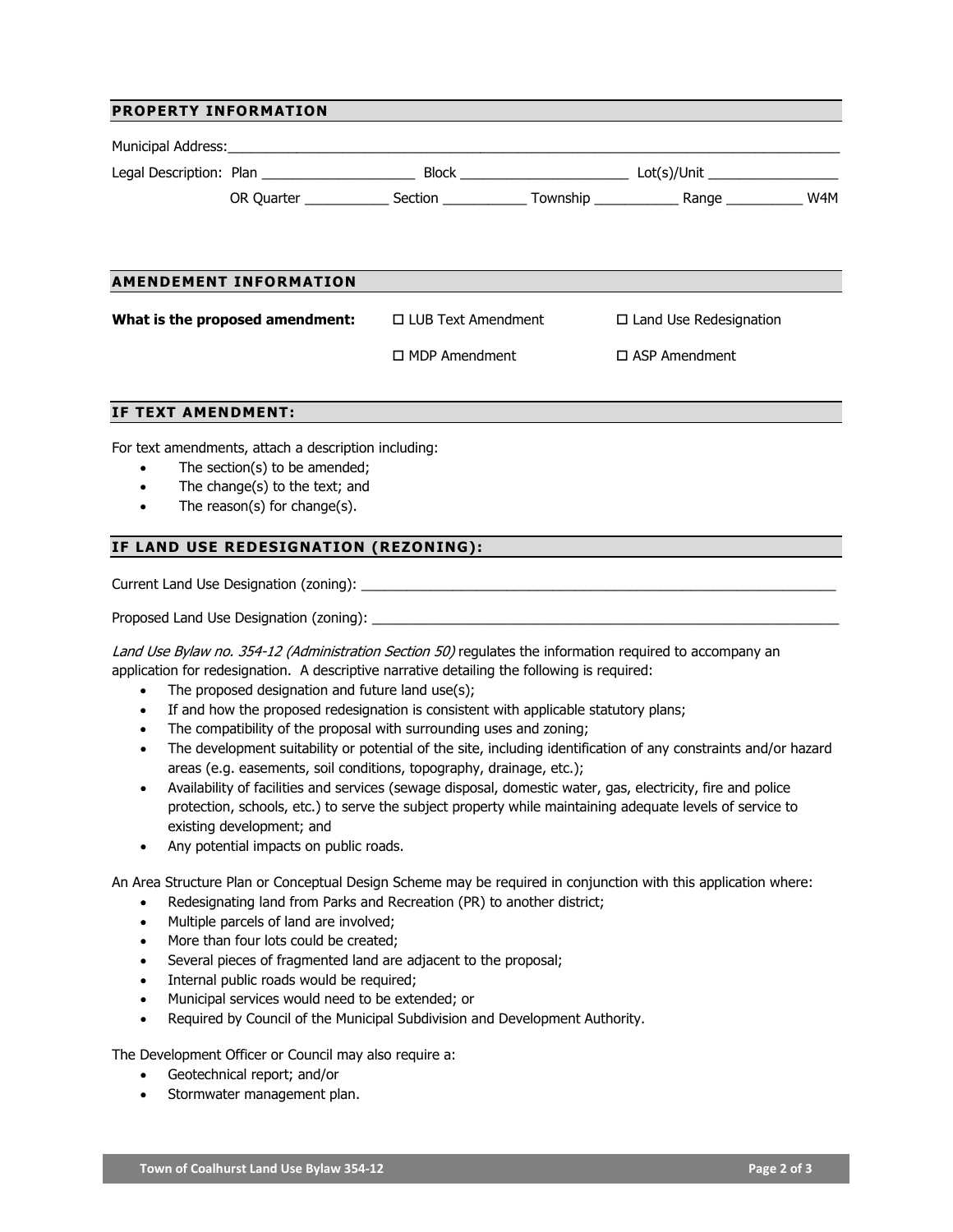#### **PROPERTY INFORMATION**

|                                 |                               |                           |                      |                               | W4M |
|---------------------------------|-------------------------------|---------------------------|----------------------|-------------------------------|-----|
|                                 |                               |                           |                      |                               |     |
|                                 |                               |                           |                      |                               |     |
|                                 | <b>AMENDEMENT INFORMATION</b> |                           |                      |                               |     |
| What is the proposed amendment: |                               | $\Box$ LUB Text Amendment |                      | $\Box$ Land Use Redesignation |     |
|                                 | $\Box$ MDP Amendment          |                           | $\Box$ ASP Amendment |                               |     |
|                                 |                               |                           |                      |                               |     |

## **IF TEXT AMENDMENT:**

For text amendments, attach a description including:

- The section(s) to be amended;
- The change(s) to the text; and
- The reason(s) for change(s).

### **IF LAND USE REDESIGNATION (REZONING):**

Current Land Use Designation (zoning): **with the example of the example of the example of the example of the example of the example of the example of the example of the example of the example of the example of the example** 

Proposed Land Use Designation (zoning):

Land Use Bylaw no. 354-12 (Administration Section 50) regulates the information required to accompany an application for redesignation. A descriptive narrative detailing the following is required:

- The proposed designation and future land use(s);
- If and how the proposed redesignation is consistent with applicable statutory plans;
- The compatibility of the proposal with surrounding uses and zoning;
- The development suitability or potential of the site, including identification of any constraints and/or hazard areas (e.g. easements, soil conditions, topography, drainage, etc.);
- Availability of facilities and services (sewage disposal, domestic water, gas, electricity, fire and police protection, schools, etc.) to serve the subject property while maintaining adequate levels of service to existing development; and
- Any potential impacts on public roads.

An Area Structure Plan or Conceptual Design Scheme may be required in conjunction with this application where:

- Redesignating land from Parks and Recreation (PR) to another district;
- Multiple parcels of land are involved;
- More than four lots could be created;
- Several pieces of fragmented land are adjacent to the proposal;
- Internal public roads would be required;
- Municipal services would need to be extended; or
- Required by Council of the Municipal Subdivision and Development Authority.

The Development Officer or Council may also require a:

- Geotechnical report; and/or
- Stormwater management plan.